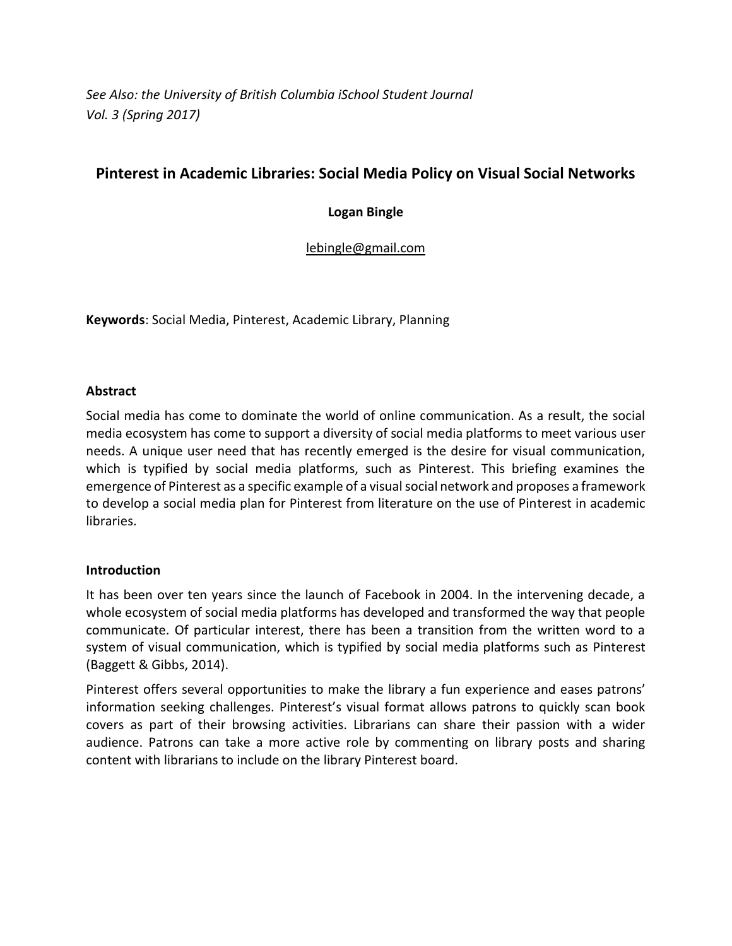*See Also: the University of British Columbia iSchool Student Journal Vol. 3 (Spring 2017)*

# **Pinterest in Academic Libraries: Social Media Policy on Visual Social Networks**

## **Logan Bingle**

[lebingle@gmail.com](mailto:lebingle@gmail.com)

**Keywords**: Social Media, Pinterest, Academic Library, Planning

## **Abstract**

Social media has come to dominate the world of online communication. As a result, the social media ecosystem has come to support a diversity of social media platforms to meet various user needs. A unique user need that has recently emerged is the desire for visual communication, which is typified by social media platforms, such as Pinterest. This briefing examines the emergence of Pinterest as a specific example of a visual social network and proposes a framework to develop a social media plan for Pinterest from literature on the use of Pinterest in academic libraries.

#### **Introduction**

It has been over ten years since the launch of Facebook in 2004. In the intervening decade, a whole ecosystem of social media platforms has developed and transformed the way that people communicate. Of particular interest, there has been a transition from the written word to a system of visual communication, which is typified by social media platforms such as Pinterest (Baggett & Gibbs, 2014).

Pinterest offers several opportunities to make the library a fun experience and eases patrons' information seeking challenges. Pinterest's visual format allows patrons to quickly scan book covers as part of their browsing activities. Librarians can share their passion with a wider audience. Patrons can take a more active role by commenting on library posts and sharing content with librarians to include on the library Pinterest board.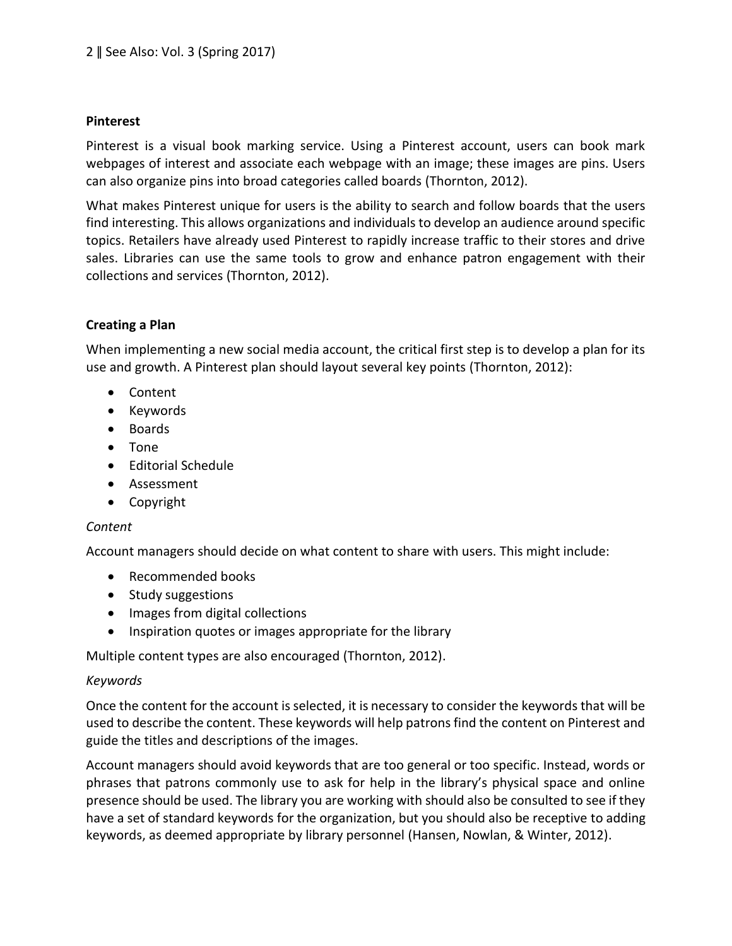## **Pinterest**

Pinterest is a visual book marking service. Using a Pinterest account, users can book mark webpages of interest and associate each webpage with an image; these images are pins. Users can also organize pins into broad categories called boards (Thornton, 2012).

What makes Pinterest unique for users is the ability to search and follow boards that the users find interesting. This allows organizations and individuals to develop an audience around specific topics. Retailers have already used Pinterest to rapidly increase traffic to their stores and drive sales. Libraries can use the same tools to grow and enhance patron engagement with their collections and services (Thornton, 2012).

## **Creating a Plan**

When implementing a new social media account, the critical first step is to develop a plan for its use and growth. A Pinterest plan should layout several key points (Thornton, 2012):

- Content
- Keywords
- Boards
- Tone
- Editorial Schedule
- Assessment
- Copyright

## *Content*

Account managers should decide on what content to share with users. This might include:

- Recommended books
- Study suggestions
- Images from digital collections
- Inspiration quotes or images appropriate for the library

Multiple content types are also encouraged (Thornton, 2012).

#### *Keywords*

Once the content for the account is selected, it is necessary to consider the keywords that will be used to describe the content. These keywords will help patrons find the content on Pinterest and guide the titles and descriptions of the images.

Account managers should avoid keywords that are too general or too specific. Instead, words or phrases that patrons commonly use to ask for help in the library's physical space and online presence should be used. The library you are working with should also be consulted to see if they have a set of standard keywords for the organization, but you should also be receptive to adding keywords, as deemed appropriate by library personnel (Hansen, Nowlan, & Winter, 2012).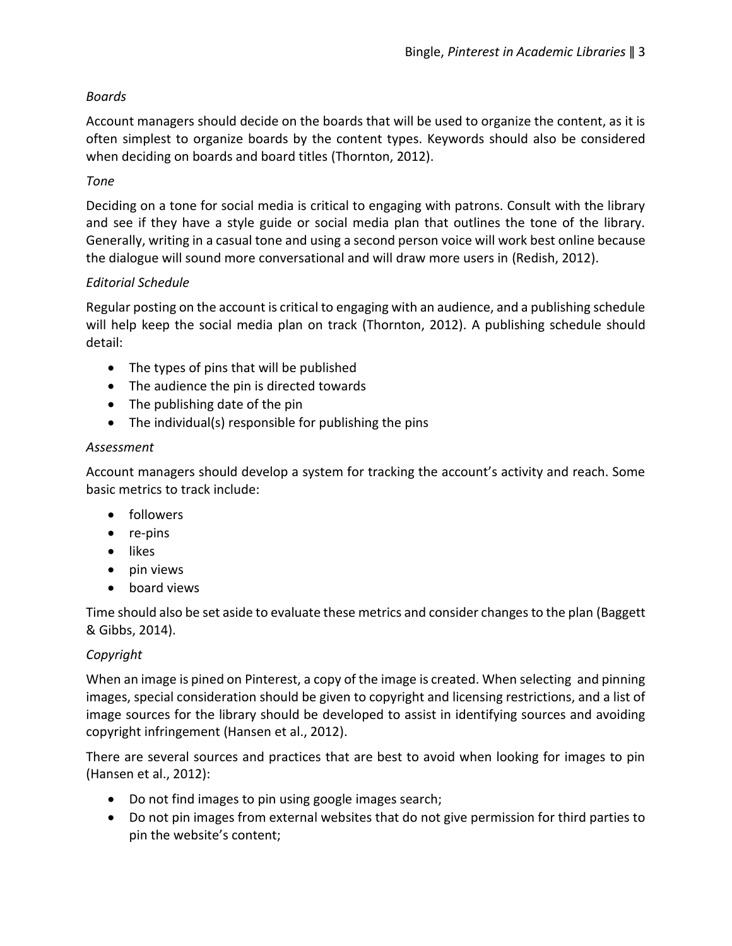## *Boards*

Account managers should decide on the boards that will be used to organize the content, as it is often simplest to organize boards by the content types. Keywords should also be considered when deciding on boards and board titles (Thornton, 2012).

## *Tone*

Deciding on a tone for social media is critical to engaging with patrons. Consult with the library and see if they have a style guide or social media plan that outlines the tone of the library. Generally, writing in a casual tone and using a second person voice will work best online because the dialogue will sound more conversational and will draw more users in (Redish, 2012).

## *Editorial Schedule*

Regular posting on the account is critical to engaging with an audience, and a publishing schedule will help keep the social media plan on track (Thornton, 2012). A publishing schedule should detail:

- The types of pins that will be published
- The audience the pin is directed towards
- The publishing date of the pin
- The individual(s) responsible for publishing the pins

## *Assessment*

Account managers should develop a system for tracking the account's activity and reach. Some basic metrics to track include:

- followers
- re-pins
- likes
- pin views
- board views

Time should also be set aside to evaluate these metrics and consider changes to the plan (Baggett & Gibbs, 2014).

## *Copyright*

When an image is pined on Pinterest, a copy of the image is created. When selecting and pinning images, special consideration should be given to copyright and licensing restrictions, and a list of image sources for the library should be developed to assist in identifying sources and avoiding copyright infringement (Hansen et al., 2012).

There are several sources and practices that are best to avoid when looking for images to pin (Hansen et al., 2012):

- Do not find images to pin using google images search;
- Do not pin images from external websites that do not give permission for third parties to pin the website's content;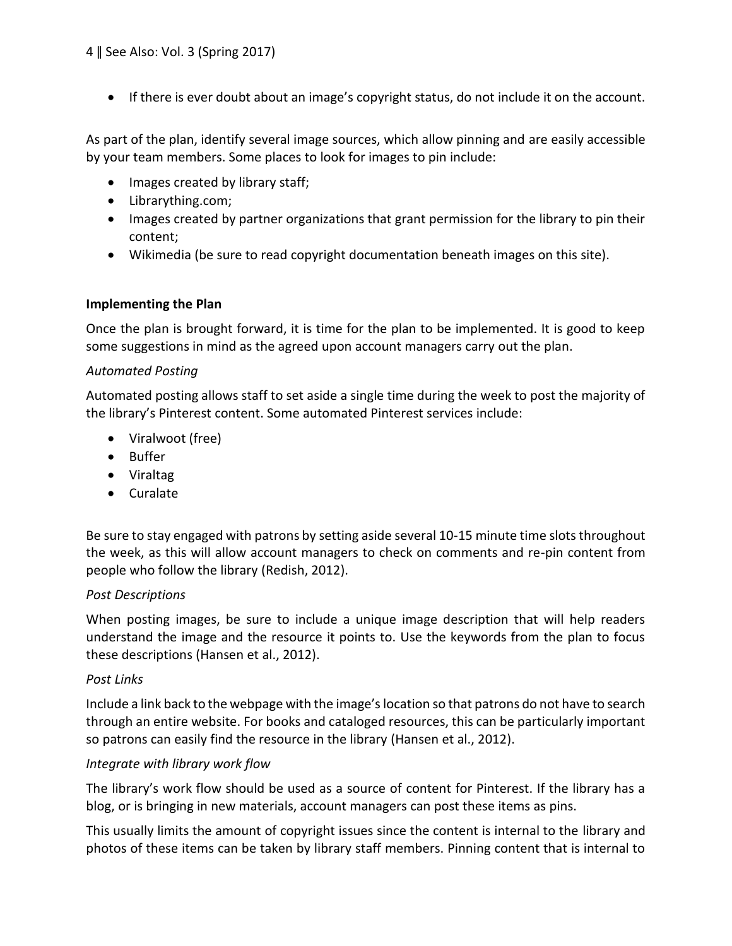• If there is ever doubt about an image's copyright status, do not include it on the account.

As part of the plan, identify several image sources, which allow pinning and are easily accessible by your team members. Some places to look for images to pin include:

- Images created by library staff;
- Librarything.com;
- Images created by partner organizations that grant permission for the library to pin their content;
- Wikimedia (be sure to read copyright documentation beneath images on this site).

#### **Implementing the Plan**

Once the plan is brought forward, it is time for the plan to be implemented. It is good to keep some suggestions in mind as the agreed upon account managers carry out the plan.

#### *Automated Posting*

Automated posting allows staff to set aside a single time during the week to post the majority of the library's Pinterest content. Some automated Pinterest services include:

- Viralwoot (free)
- Buffer
- Viraltag
- Curalate

Be sure to stay engaged with patrons by setting aside several 10-15 minute time slots throughout the week, as this will allow account managers to check on comments and re-pin content from people who follow the library (Redish, 2012).

#### *Post Descriptions*

When posting images, be sure to include a unique image description that will help readers understand the image and the resource it points to. Use the keywords from the plan to focus these descriptions (Hansen et al., 2012).

#### *Post Links*

Include a link back to the webpage with the image's location so that patrons do not have to search through an entire website. For books and cataloged resources, this can be particularly important so patrons can easily find the resource in the library (Hansen et al., 2012).

#### *Integrate with library work flow*

The library's work flow should be used as a source of content for Pinterest. If the library has a blog, or is bringing in new materials, account managers can post these items as pins.

This usually limits the amount of copyright issues since the content is internal to the library and photos of these items can be taken by library staff members. Pinning content that is internal to